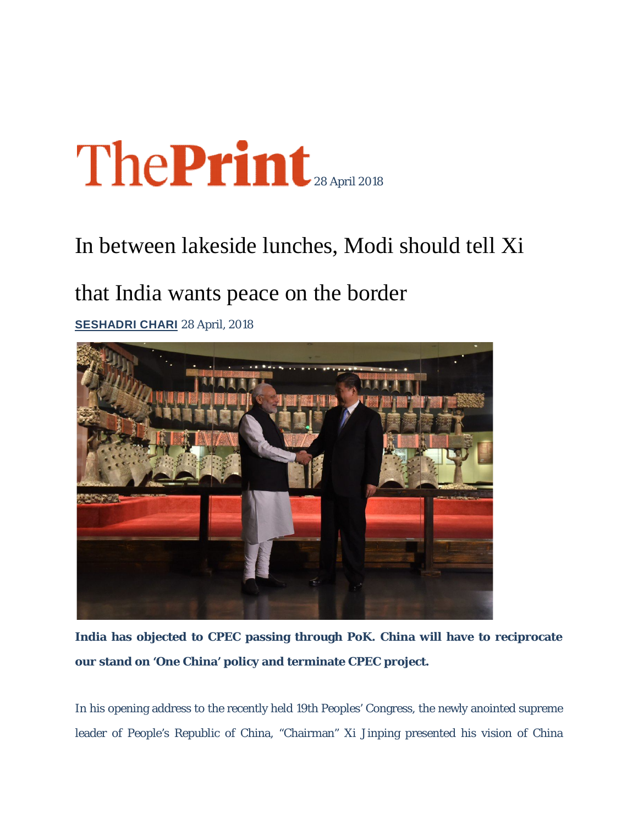## The Print

## In between lakeside lunches, Modi should tell Xi

## that India wants peace on the border

**SESHADRI CHARI** 28 April, 2018



**India has objected to CPEC passing through PoK. China will have to reciprocate our stand on 'One China' policy and terminate CPEC project.**

In his opening address to the recently held 19th Peoples' Congress, the newly anointed supreme leader of People's Republic of China, "Chairman" Xi Jinping presented his vision of China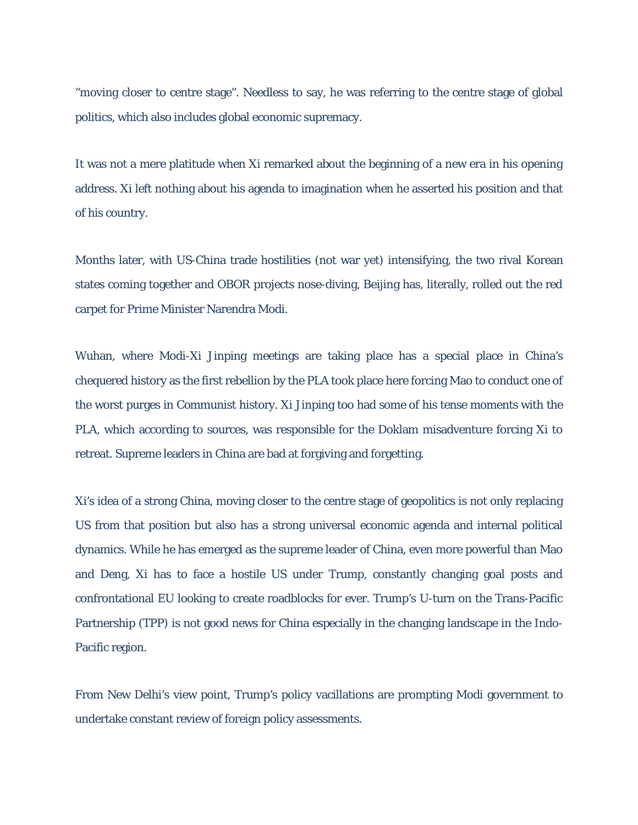"moving closer to centre stage". Needless to say, he was referring to the centre stage of global politics, which also includes global economic supremacy.

It was not a mere platitude when Xi remarked about the beginning of a new era in his opening address. Xi left nothing about his agenda to imagination when he asserted his position and that of his country.

Months later, with US-China trade hostilities (not war yet) intensifying, the two rival Korean states coming together and OBOR projects nose-diving, Beijing has, literally, rolled out the red carpet for Prime Minister Narendra Modi.

Wuhan, where Modi-Xi Jinping meetings are taking place has a special place in China's chequered history as the first rebellion by the PLA took place here forcing Mao to conduct one of the worst purges in Communist history. Xi Jinping too had some of his tense moments with the PLA, which according to sources, was responsible for the Doklam misadventure forcing Xi to retreat. Supreme leaders in China are bad at forgiving and forgetting.

Xi's idea of a strong China, moving closer to the centre stage of geopolitics is not only replacing US from that position but also has a strong universal economic agenda and internal political dynamics. While he has emerged as the supreme leader of China, even more powerful than Mao and Deng, Xi has to face a hostile US under Trump, constantly changing goal posts and confrontational EU looking to create roadblocks for ever. Trump's U-turn on the Trans-Pacific Partnership (TPP) is not good news for China especially in the changing landscape in the Indo-Pacific region.

From New Delhi's view point, Trump's policy vacillations are prompting Modi government to undertake constant review of foreign policy assessments.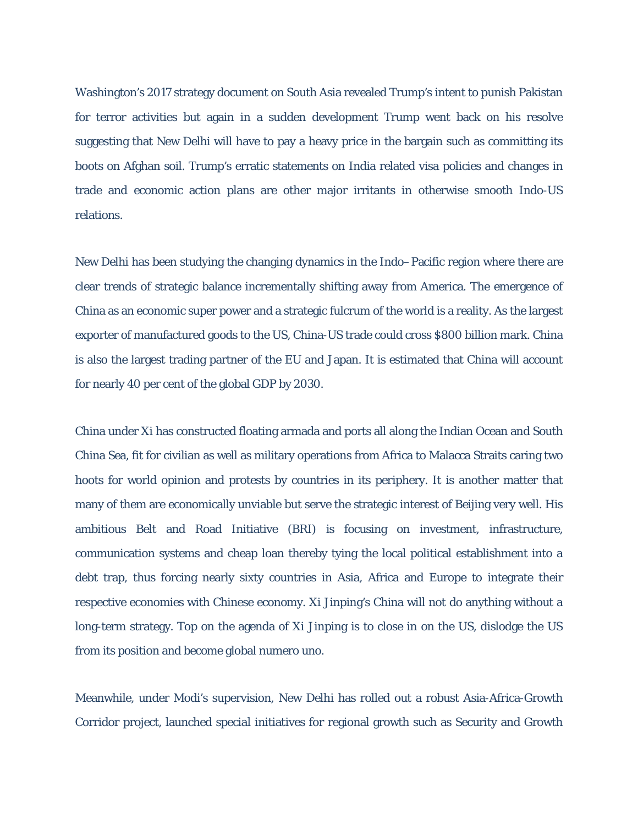Washington's 2017 strategy document on South Asia revealed Trump's intent to punish Pakistan for terror activities but again in a sudden development Trump went back on his resolve suggesting that New Delhi will have to pay a heavy price in the bargain such as committing its boots on Afghan soil. Trump's erratic statements on India related visa policies and changes in trade and economic action plans are other major irritants in otherwise smooth Indo-US relations.

New Delhi has been studying the changing dynamics in the Indo–Pacific region where there are clear trends of strategic balance incrementally shifting away from America. The emergence of China as an economic super power and a strategic fulcrum of the world is a reality. As the largest exporter of manufactured goods to the US, China-US trade could cross \$800 billion mark. China is also the largest trading partner of the EU and Japan. It is estimated that China will account for nearly 40 per cent of the global GDP by 2030.

China under Xi has constructed floating armada and ports all along the Indian Ocean and South China Sea, fit for civilian as well as military operations from Africa to Malacca Straits caring two hoots for world opinion and protests by countries in its periphery. It is another matter that many of them are economically unviable but serve the strategic interest of Beijing very well. His ambitious Belt and Road Initiative (BRI) is focusing on investment, infrastructure, communication systems and cheap loan thereby tying the local political establishment into a debt trap, thus forcing nearly sixty countries in Asia, Africa and Europe to integrate their respective economies with Chinese economy. Xi Jinping's China will not do anything without a long-term strategy. Top on the agenda of Xi Jinping is to close in on the US, dislodge the US from its position and become global numero uno.

Meanwhile, under Modi's supervision, New Delhi has rolled out a robust Asia-Africa-Growth Corridor project, launched special initiatives for regional growth such as Security and Growth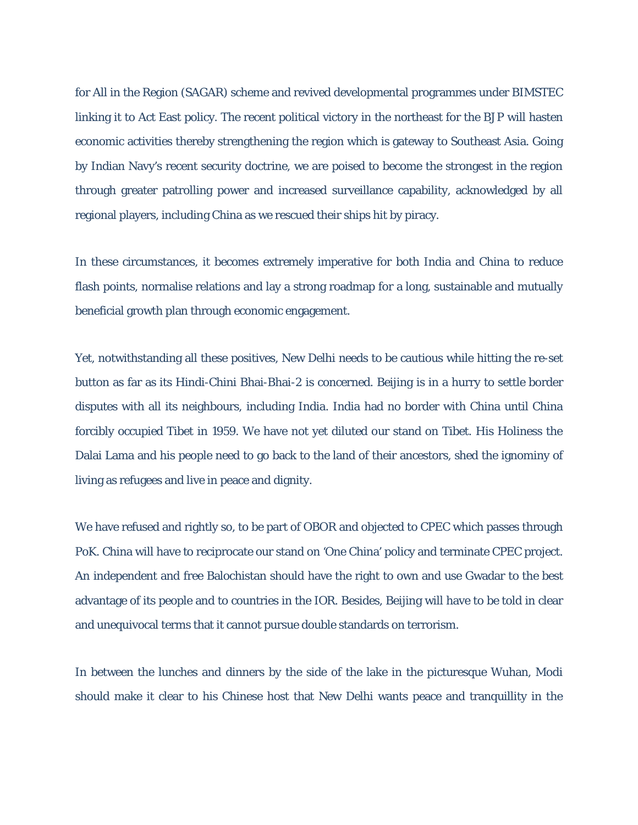for All in the Region (SAGAR) scheme and revived developmental programmes under BIMSTEC linking it to Act East policy. The recent political victory in the northeast for the BJP will hasten economic activities thereby strengthening the region which is gateway to Southeast Asia. Going by Indian Navy's recent security doctrine, we are poised to become the strongest in the region through greater patrolling power and increased surveillance capability, acknowledged by all regional players, including China as we rescued their ships hit by piracy.

In these circumstances, it becomes extremely imperative for both India and China to reduce flash points, normalise relations and lay a strong roadmap for a long, sustainable and mutually beneficial growth plan through economic engagement.

Yet, notwithstanding all these positives, New Delhi needs to be cautious while hitting the re-set button as far as its Hindi-Chini Bhai-Bhai-2 is concerned. Beijing is in a hurry to settle border disputes with all its neighbours, including India. India had no border with China until China forcibly occupied Tibet in 1959. We have not yet diluted our stand on Tibet. His Holiness the Dalai Lama and his people need to go back to the land of their ancestors, shed the ignominy of living as refugees and live in peace and dignity.

We have refused and rightly so, to be part of OBOR and objected to CPEC which passes through PoK. China will have to reciprocate our stand on 'One China' policy and terminate CPEC project. An independent and free Balochistan should have the right to own and use Gwadar to the best advantage of its people and to countries in the IOR. Besides, Beijing will have to be told in clear and unequivocal terms that it cannot pursue double standards on terrorism.

In between the lunches and dinners by the side of the lake in the picturesque Wuhan, Modi should make it clear to his Chinese host that New Delhi wants peace and tranquillity in the